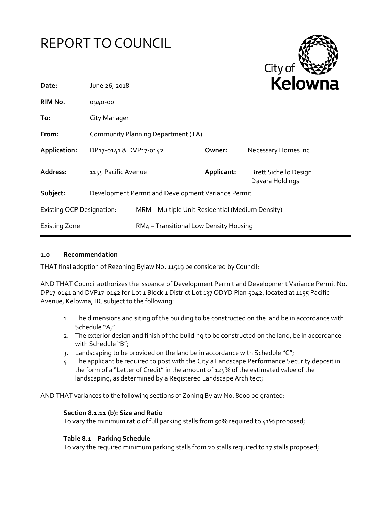



| Date:                            | June 26, 2018          |                                                    | reiow      |                                                 |
|----------------------------------|------------------------|----------------------------------------------------|------------|-------------------------------------------------|
| RIM No.                          | 0940-00                |                                                    |            |                                                 |
| To:                              | City Manager           |                                                    |            |                                                 |
| From:                            |                        | Community Planning Department (TA)                 |            |                                                 |
| Application:                     | DP17-0141 & DVP17-0142 |                                                    | Owner:     | Necessary Homes Inc.                            |
| Address:                         | 1155 Pacific Avenue    |                                                    | Applicant: | <b>Brett Sichello Design</b><br>Davara Holdings |
| Subject:                         |                        | Development Permit and Development Variance Permit |            |                                                 |
| <b>Existing OCP Designation:</b> |                        | MRM - Multiple Unit Residential (Medium Density)   |            |                                                 |
| <b>Existing Zone:</b>            |                        | RM4 - Transitional Low Density Housing             |            |                                                 |

#### **1.0 Recommendation**

THAT final adoption of Rezoning Bylaw No. 11519 be considered by Council;

AND THAT Council authorizes the issuance of Development Permit and Development Variance Permit No. DP17-0141 and DVP17-0142 for Lot 1 Block 1 District Lot 137 ODYD Plan 5042, located at 1155 Pacific Avenue, Kelowna, BC subject to the following:

- 1. The dimensions and siting of the building to be constructed on the land be in accordance with Schedule "A,"
- 2. The exterior design and finish of the building to be constructed on the land, be in accordance with Schedule "B";
- 3. Landscaping to be provided on the land be in accordance with Schedule " $C$ ";
- 4. The applicant be required to post with the City a Landscape Performance Security deposit in the form of a "Letter of Credit" in the amount of 125% of the estimated value of the landscaping, as determined by a Registered Landscape Architect;

AND THAT variances to the following sections of Zoning Bylaw No. 8000 be granted:

#### **Section 8.1.11 (b): Size and Ratio**

To vary the minimum ratio of full parking stalls from 50% required to 41% proposed;

#### **Table 8.1 – Parking Schedule**

To vary the required minimum parking stalls from 20 stalls required to 17 stalls proposed;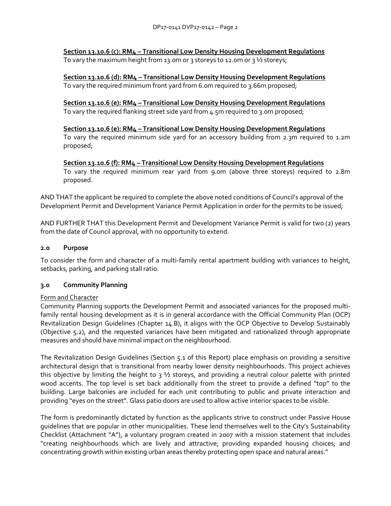**Section 13.10.6 (c): RM4 – Transitional Low Density Housing Development Regulations** To vary the maximum height from 13.0m or 3 storeys to 12.0m or 3  $\frac{1}{2}$  storeys;

**Section 13.10.6 (d): RM4 – Transitional Low Density Housing Development Regulations** To vary the required minimum front yard from 6.0m required to 3.66m proposed;

**Section 13.10.6 (e): RM4 – Transitional Low Density Housing Development Regulations** To vary the required flanking street side yard from 4.5m required to 3.0m proposed;

**Section 13.10.6 (e): RM4 – Transitional Low Density Housing Development Regulations** To vary the required minimum side yard for an accessory building from 2.3m required to 1.2m proposed;

**Section 13.10.6 (f): RM4 – Transitional Low Density Housing Development Regulations** To vary the required minimum rear yard from 9.0m (above three storeys) required to 2.8m proposed.

AND THAT the applicant be required to complete the above noted conditions of Council's approval of the Development Permit and Development Variance Permit Application in order for the permits to be issued;

AND FURTHER THAT this Development Permit and Development Variance Permit is valid for two (2) years from the date of Council approval, with no opportunity to extend.

# **2.0 Purpose**

To consider the form and character of a multi-family rental apartment building with variances to height, setbacks, parking, and parking stall ratio.

#### **3.0 Community Planning**

#### Form and Character

Community Planning supports the Development Permit and associated variances for the proposed multifamily rental housing development as it is in general accordance with the Official Community Plan (OCP) Revitalization Design Guidelines (Chapter 14.B), it aligns with the OCP Objective to Develop Sustainably (Objective 5.2), and the requested variances have been mitigated and rationalized through appropriate measures and should have minimal impact on the neighbourhood.

The Revitalization Design Guidelines (Section 5.1 of this Report) place emphasis on providing a sensitive architectural design that is transitional from nearby lower density neighbourhoods. This project achieves this objective by limiting the height to  $3\frac{1}{2}$  storeys, and providing a neutral colour palette with printed wood accents. The top level is set back additionally from the street to provide a defined "top" to the building. Large balconies are included for each unit contributing to public and private interaction and providing "eyes on the street". Glass patio doors are used to allow active interior spaces to be visible.

The form is predominantly dictated by function as the applicants strive to construct under Passive House guidelines that are popular in other municipalities. These lend themselves well to the City's Sustainability Checklist (Attachment "A"), a voluntary program created in 2007 with a mission statement that includes "creating neighbourhoods which are lively and attractive; providing expanded housing choices; and concentrating growth within existing urban areas thereby protecting open space and natural areas."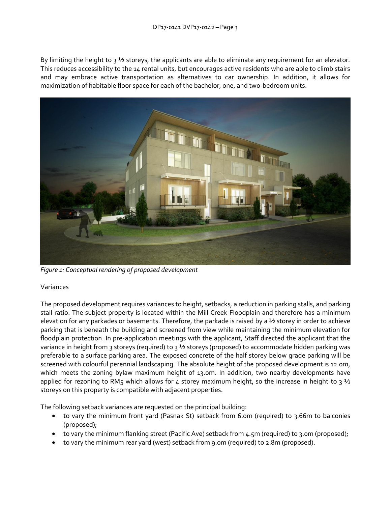By limiting the height to  $3\frac{1}{2}$  storeys, the applicants are able to eliminate any requirement for an elevator. This reduces accessibility to the 14 rental units, but encourages active residents who are able to climb stairs and may embrace active transportation as alternatives to car ownership. In addition, it allows for maximization of habitable floor space for each of the bachelor, one, and two-bedroom units.



*Figure 1: Conceptual rendering of proposed development*

# Variances

The proposed development requires variances to height, setbacks, a reduction in parking stalls, and parking stall ratio. The subject property is located within the Mill Creek Floodplain and therefore has a minimum elevation for any parkades or basements. Therefore, the parkade is raised by a ½ storey in order to achieve parking that is beneath the building and screened from view while maintaining the minimum elevation for floodplain protection. In pre-application meetings with the applicant, Staff directed the applicant that the variance in height from 3 storeys (required) to 3 ½ storeys (proposed) to accommodate hidden parking was preferable to a surface parking area. The exposed concrete of the half storey below grade parking will be screened with colourful perennial landscaping. The absolute height of the proposed development is 12.0m, which meets the zoning bylaw maximum height of 13.0m. In addition, two nearby developments have applied for rezoning to RM5 which allows for 4 storey maximum height, so the increase in height to 3  $\frac{1}{2}$ storeys on this property is compatible with adjacent properties.

The following setback variances are requested on the principal building:

- to vary the minimum front yard (Pasnak St) setback from 6.0m (required) to 3.66m to balconies (proposed);
- to vary the minimum flanking street (Pacific Ave) setback from 4.5m (required) to 3.0m (proposed);
- to vary the minimum rear yard (west) setback from 9.0m (required) to 2.8m (proposed).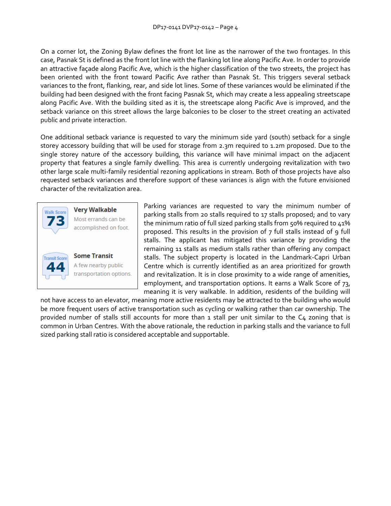On a corner lot, the Zoning Bylaw defines the front lot line as the narrower of the two frontages. In this case, Pasnak St is defined as the front lot line with the flanking lot line along Pacific Ave. In order to provide an attractive façade along Pacific Ave, which is the higher classification of the two streets, the project has been oriented with the front toward Pacific Ave rather than Pasnak St. This triggers several setback variances to the front, flanking, rear, and side lot lines. Some of these variances would be eliminated if the building had been designed with the front facing Pasnak St, which may create a less appealing streetscape along Pacific Ave. With the building sited as it is, the streetscape along Pacific Ave is improved, and the setback variance on this street allows the large balconies to be closer to the street creating an activated public and private interaction.

One additional setback variance is requested to vary the minimum side yard (south) setback for a single storey accessory building that will be used for storage from 2.3m required to 1.2m proposed. Due to the single storey nature of the accessory building, this variance will have minimal impact on the adjacent property that features a single family dwelling. This area is currently undergoing revitalization with two other large scale multi-family residential rezoning applications in stream. Both of those projects have also requested setback variances and therefore support of these variances is align with the future envisioned character of the revitalization area.



**Very Walkable** Most errands can be accomplished on foot.



A few nearby public transportation options.

Parking variances are requested to vary the minimum number of parking stalls from 20 stalls required to 17 stalls proposed; and to vary the minimum ratio of full sized parking stalls from 50% required to 41% proposed. This results in the provision of 7 full stalls instead of 9 full stalls. The applicant has mitigated this variance by providing the remaining 11 stalls as medium stalls rather than offering any compact stalls. The subject property is located in the Landmark-Capri Urban Centre which is currently identified as an area prioritized for growth and revitalization. It is in close proximity to a wide range of amenities, employment, and transportation options. It earns a Walk Score of 73, meaning it is very walkable. In addition, residents of the building will

not have access to an elevator, meaning more active residents may be attracted to the building who would be more frequent users of active transportation such as cycling or walking rather than car ownership. The provided number of stalls still accounts for more than 1 stall per unit similar to the C4 zoning that is common in Urban Centres. With the above rationale, the reduction in parking stalls and the variance to full sized parking stall ratio is considered acceptable and supportable.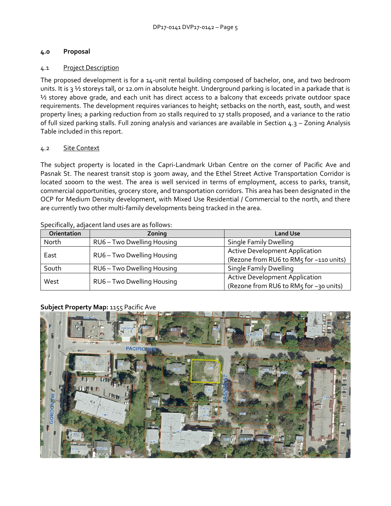# **4.0 Proposal**

# 4.1 Project Description

The proposed development is for a 14-unit rental building composed of bachelor, one, and two bedroom units. It is 3  $\frac{1}{2}$  storeys tall, or 12.0m in absolute height. Underground parking is located in a parkade that is ½ storey above grade, and each unit has direct access to a balcony that exceeds private outdoor space requirements. The development requires variances to height; setbacks on the north, east, south, and west property lines; a parking reduction from 20 stalls required to 17 stalls proposed, and a variance to the ratio of full sized parking stalls. Full zoning analysis and variances are available in Section 4.3 – Zoning Analysis Table included in this report.

# 4.2 Site Context

The subject property is located in the Capri-Landmark Urban Centre on the corner of Pacific Ave and Pasnak St. The nearest transit stop is 300m away, and the Ethel Street Active Transportation Corridor is located 1000m to the west. The area is well serviced in terms of employment, access to parks, transit, commercial opportunities, grocery store, and transportation corridors. This area has been designated in the OCP for Medium Density development, with Mixed Use Residential / Commercial to the north, and there are currently two other multi-family developments being tracked in the area.

| Orientation | Zoning                     | <b>Land Use</b>                         |  |
|-------------|----------------------------|-----------------------------------------|--|
| North       | RU6 - Two Dwelling Housing | <b>Single Family Dwelling</b>           |  |
|             | RU6 - Two Dwelling Housing | <b>Active Development Application</b>   |  |
| East        |                            | (Rezone from RU6 to RM5 for ~110 units) |  |
| South       | RU6 - Two Dwelling Housing | <b>Single Family Dwelling</b>           |  |
|             |                            | <b>Active Development Application</b>   |  |
| West        | RU6 - Two Dwelling Housing | (Rezone from RU6 to RM5 for ~30 units)  |  |

Specifically, adjacent land uses are as follows:

# **Subject Property Map:** 1155 Pacific Ave

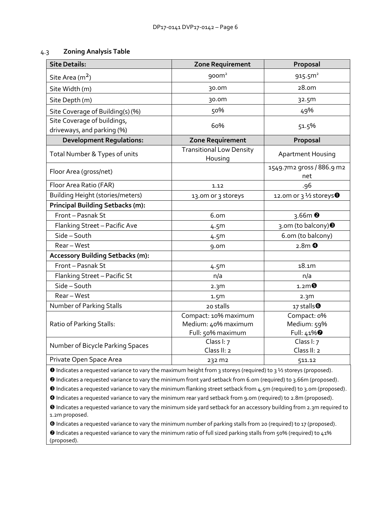#### 4.3 **Zoning Analysis Table**

| <b>Site Details:</b>                                      | <b>Zone Requirement</b>                                          | Proposal                                             |  |
|-----------------------------------------------------------|------------------------------------------------------------------|------------------------------------------------------|--|
| Site Area (m <sup>2</sup> )                               | 900m <sup>2</sup>                                                | 915.5 <sup>m²</sup>                                  |  |
| Site Width (m)                                            | 30.0m                                                            | 28.0 <sub>m</sub>                                    |  |
| Site Depth (m)                                            | 30.0m                                                            | 32.5m                                                |  |
| Site Coverage of Building(s) (%)                          | 50%                                                              | 49%                                                  |  |
| Site Coverage of buildings,<br>driveways, and parking (%) | 60%                                                              | 51.5%                                                |  |
| <b>Development Regulations:</b>                           | <b>Zone Requirement</b>                                          | Proposal                                             |  |
| Total Number & Types of units                             | <b>Transitional Low Density</b><br>Housing                       | <b>Apartment Housing</b>                             |  |
| Floor Area (gross/net)                                    |                                                                  | 1549.7m2 gross / 886.9 m2<br>net                     |  |
| Floor Area Ratio (FAR)                                    | 1.12                                                             | .96                                                  |  |
| <b>Building Height (stories/meters)</b>                   | 13.0m or 3 storeys                                               | 12.0m or 3 1/2 storeys <sup>0</sup>                  |  |
| <b>Principal Building Setbacks (m):</b>                   |                                                                  |                                                      |  |
| Front - Pasnak St                                         | 6.om                                                             | $3.66m$ <sup>2</sup>                                 |  |
| Flanking Street - Pacific Ave                             | 4.5m                                                             | 3.0m (to balcony) <sup>®</sup>                       |  |
| Side-South                                                | 4.5m                                                             | 6.om (to balcony)                                    |  |
| Rear - West                                               | 9.0 <sub>m</sub>                                                 | $2.8m$ <sup>O</sup>                                  |  |
| <b>Accessory Building Setbacks (m):</b>                   |                                                                  |                                                      |  |
| Front - Pasnak St                                         | 4.5 <sub>m</sub>                                                 | 18.1m                                                |  |
| Flanking Street - Pacific St                              | n/a                                                              | n/a                                                  |  |
| Side-South                                                | 2.3 <sub>m</sub>                                                 | $1.2m$ $\Theta$                                      |  |
| Rear - West                                               | 1.5 <sub>m</sub>                                                 | 2.3 <sub>m</sub>                                     |  |
| Number of Parking Stalls                                  | 20 stalls                                                        | 17 stalls $\bullet$                                  |  |
| Ratio of Parking Stalls:                                  | Compact: 10% maximum<br>Medium: 40% maximum<br>Full: 50% maximum | Compact: 0%<br>Medium: 59%<br>Full: 41% <sup>0</sup> |  |
| Number of Bicycle Parking Spaces                          | Class I: 7<br>Class II: 2                                        | Class I: 7<br>Class II: 2                            |  |
| Private Open Space Area                                   | 232 m2                                                           | 511.12                                               |  |

Indicates a requested variance to vary the maximum height from 3 storeys (required) to 3 ½ storeys (proposed).

Indicates a requested variance to vary the minimum front yard setback from 6.0m (required) to 3.66m (proposed).

Indicates a requested variance to vary the minimum flanking street setback from 4.5m (required) to 3.0m (proposed).

Indicates a requested variance to vary the minimum rear yard setback from 9.0m (required) to 2.8m (proposed).

 Indicates a requested variance to vary the minimum side yard setback for an accessory building from 2.3m required to 1.2m proposed.

 Indicates a requested variance to vary the minimum number of parking stalls from 20 (required) to 17 (proposed). Indicates a requested variance to vary the minimum ratio of full sized parking stalls from 50% (required) to 41%

(proposed).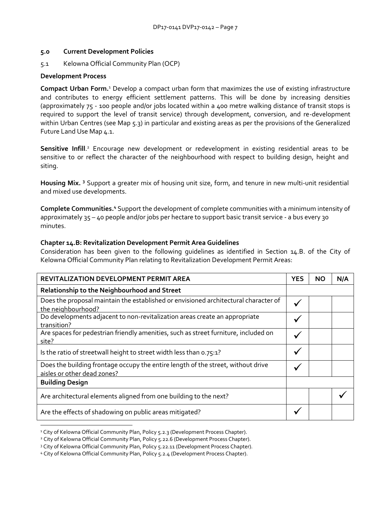#### **5.0 Current Development Policies**

5.1 Kelowna Official Community Plan (OCP)

#### **Development Process**

**Compact Urban Form.**<sup>1</sup> Develop a compact urban form that maximizes the use of existing infrastructure and contributes to energy efficient settlement patterns. This will be done by increasing densities (approximately 75 - 100 people and/or jobs located within a 400 metre walking distance of transit stops is required to support the level of transit service) through development, conversion, and re-development within Urban Centres (see Map 5.3) in particular and existing areas as per the provisions of the Generalized Future Land Use Map 4.1.

Sensitive Infill.<sup>2</sup> Encourage new development or redevelopment in existing residential areas to be sensitive to or reflect the character of the neighbourhood with respect to building design, height and siting.

**Housing Mix. <sup>3</sup>** Support a greater mix of housing unit size, form, and tenure in new multi-unit residential and mixed use developments.

**Complete Communities.<sup>4</sup>** Support the development of complete communities with a minimum intensity of approximately 35 – 40 people and/or jobs per hectare to support basic transit service - a bus every 30 minutes.

#### **Chapter 14.B: Revitalization Development Permit Area Guidelines**

Consideration has been given to the following guidelines as identified in Section 14.B. of the City of Kelowna Official Community Plan relating to Revitalization Development Permit Areas:

| REVITALIZATION DEVELOPMENT PERMIT AREA                                                                          | <b>YES</b>   | ΝO | N/A |
|-----------------------------------------------------------------------------------------------------------------|--------------|----|-----|
| Relationship to the Neighbourhood and Street                                                                    |              |    |     |
| Does the proposal maintain the established or envisioned architectural character of<br>the neighbourhood?       | ✔            |    |     |
| Do developments adjacent to non-revitalization areas create an appropriate<br>transition?                       |              |    |     |
| Are spaces for pedestrian friendly amenities, such as street furniture, included on<br>site?                    |              |    |     |
| Is the ratio of streetwall height to street width less than 0.75:1?                                             | $\checkmark$ |    |     |
| Does the building frontage occupy the entire length of the street, without drive<br>aisles or other dead zones? |              |    |     |
| <b>Building Design</b>                                                                                          |              |    |     |
| Are architectural elements aligned from one building to the next?                                               |              |    |     |
| Are the effects of shadowing on public areas mitigated?                                                         |              |    |     |
|                                                                                                                 |              |    |     |

<sup>&</sup>lt;sup>1</sup> City of Kelowna Official Community Plan, Policy 5.2.3 (Development Process Chapter).

<sup>&</sup>lt;sup>2</sup> City of Kelowna Official Community Plan, Policy 5.22.6 (Development Process Chapter).

<sup>&</sup>lt;sup>3</sup> City of Kelowna Official Community Plan, Policy 5.22.11 (Development Process Chapter).

<sup>4</sup> City of Kelowna Official Community Plan, Policy 5.2.4 (Development Process Chapter).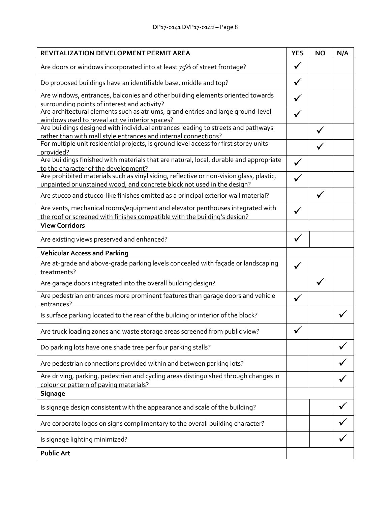| REVITALIZATION DEVELOPMENT PERMIT AREA                                                                                                                             |   |  | N/A |
|--------------------------------------------------------------------------------------------------------------------------------------------------------------------|---|--|-----|
| Are doors or windows incorporated into at least 75% of street frontage?                                                                                            |   |  |     |
| Do proposed buildings have an identifiable base, middle and top?                                                                                                   |   |  |     |
| Are windows, entrances, balconies and other building elements oriented towards                                                                                     |   |  |     |
| surrounding points of interest and activity?<br>Are architectural elements such as atriums, grand entries and large ground-level                                   |   |  |     |
| windows used to reveal active interior spaces?                                                                                                                     |   |  |     |
| Are buildings designed with individual entrances leading to streets and pathways                                                                                   |   |  |     |
| rather than with mall style entrances and internal connections?<br>For multiple unit residential projects, is ground level access for first storey units           |   |  |     |
| provided?                                                                                                                                                          |   |  |     |
| Are buildings finished with materials that are natural, local, durable and appropriate<br>to the character of the development?                                     | ✓ |  |     |
| Are prohibited materials such as vinyl siding, reflective or non-vision glass, plastic,<br>unpainted or unstained wood, and concrete block not used in the design? |   |  |     |
| Are stucco and stucco-like finishes omitted as a principal exterior wall material?                                                                                 |   |  |     |
| Are vents, mechanical rooms/equipment and elevator penthouses integrated with<br>the roof or screened with finishes compatible with the building's design?         |   |  |     |
| <b>View Corridors</b>                                                                                                                                              |   |  |     |
| Are existing views preserved and enhanced?                                                                                                                         | ✓ |  |     |
| <b>Vehicular Access and Parking</b>                                                                                                                                |   |  |     |
| Are at-grade and above-grade parking levels concealed with façade or landscaping<br>treatments?                                                                    |   |  |     |
| Are garage doors integrated into the overall building design?                                                                                                      |   |  |     |
| Are pedestrian entrances more prominent features than garage doors and vehicle<br>entrances?                                                                       |   |  |     |
| Is surface parking located to the rear of the building or interior of the block?                                                                                   |   |  |     |
| Are truck loading zones and waste storage areas screened from public view?                                                                                         |   |  |     |
| Do parking lots have one shade tree per four parking stalls?                                                                                                       |   |  |     |
| Are pedestrian connections provided within and between parking lots?                                                                                               |   |  |     |
| Are driving, parking, pedestrian and cycling areas distinguished through changes in<br>colour or pattern of paving materials?                                      |   |  |     |
| <b>Signage</b>                                                                                                                                                     |   |  |     |
| Is signage design consistent with the appearance and scale of the building?                                                                                        |   |  |     |
| Are corporate logos on signs complimentary to the overall building character?                                                                                      |   |  |     |
| Is signage lighting minimized?                                                                                                                                     |   |  |     |
| <b>Public Art</b>                                                                                                                                                  |   |  |     |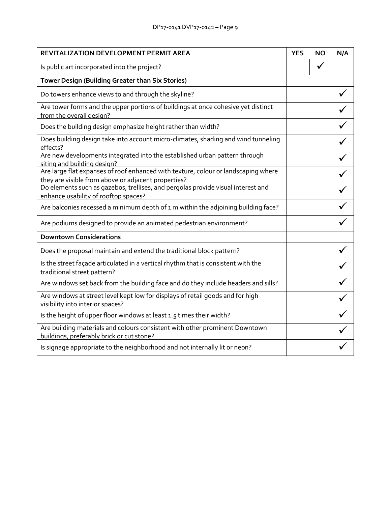# DP17-0141 DVP17-0142 – Page 9

| REVITALIZATION DEVELOPMENT PERMIT AREA                                                                                                    |  |  | N/A |
|-------------------------------------------------------------------------------------------------------------------------------------------|--|--|-----|
| Is public art incorporated into the project?                                                                                              |  |  |     |
| Tower Design (Building Greater than Six Stories)                                                                                          |  |  |     |
| Do towers enhance views to and through the skyline?                                                                                       |  |  |     |
| Are tower forms and the upper portions of buildings at once cohesive yet distinct<br>from the overall design?                             |  |  |     |
| Does the building design emphasize height rather than width?                                                                              |  |  |     |
| Does building design take into account micro-climates, shading and wind tunneling<br>effects?                                             |  |  |     |
| Are new developments integrated into the established urban pattern through<br>siting and building design?                                 |  |  |     |
| Are large flat expanses of roof enhanced with texture, colour or landscaping where<br>they are visible from above or adjacent properties? |  |  |     |
| Do elements such as gazebos, trellises, and pergolas provide visual interest and<br>enhance usability of rooftop spaces?                  |  |  |     |
| Are balconies recessed a minimum depth of 1 m within the adjoining building face?                                                         |  |  |     |
| Are podiums designed to provide an animated pedestrian environment?                                                                       |  |  |     |
| <b>Downtown Considerations</b>                                                                                                            |  |  |     |
| Does the proposal maintain and extend the traditional block pattern?                                                                      |  |  |     |
| Is the street façade articulated in a vertical rhythm that is consistent with the<br>traditional street pattern?                          |  |  |     |
| Are windows set back from the building face and do they include headers and sills?                                                        |  |  |     |
| Are windows at street level kept low for displays of retail goods and for high<br>visibility into interior spaces?                        |  |  |     |
| Is the height of upper floor windows at least 1.5 times their width?                                                                      |  |  |     |
| Are building materials and colours consistent with other prominent Downtown<br>buildings, preferably brick or cut stone?                  |  |  |     |
| Is signage appropriate to the neighborhood and not internally lit or neon?                                                                |  |  |     |